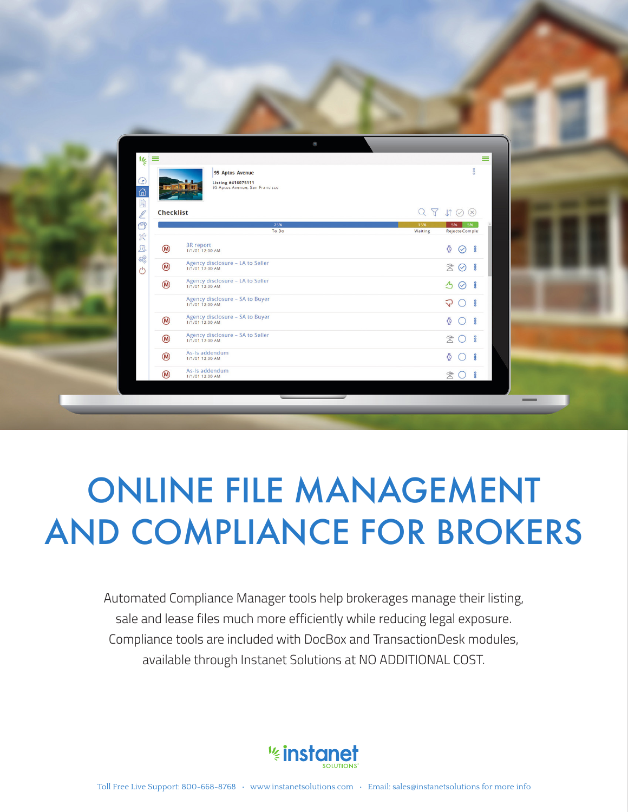| $\frac{1}{2}$                                    | $\equiv$    | $\langle \bullet \rangle$<br>95 Aptos Avenue                         | $\equiv$<br><b>Sol</b>                                                                 |
|--------------------------------------------------|-------------|----------------------------------------------------------------------|----------------------------------------------------------------------------------------|
| $\odot$<br>$\hat{\omega}$<br>$\ell$<br>$\bullet$ | Checklist   | Listing #416075111<br>95 Aptos Avenue, San Francisco<br>75%<br>To Do | $Q \nabla \nabla \mathbb{1} \odot \otimes$<br>5% 5%<br>15%<br>Waiting<br>RejecteComple |
| ×<br>$\mathcal{B}$<br>暖                          | $\circledR$ | 3R report<br>1/1/01 12:00 AM                                         | $\circledcirc$ $\circ$                                                                 |
| $\circlearrowleft$                               | $\circledR$ | Agency disclosure - LA to Seller<br>1/1/01 12:00 AM                  | 30                                                                                     |
|                                                  | $\circledR$ | Agency disclosure - LA to Seller<br>1/1/01 12:00 AM                  | 30                                                                                     |
|                                                  |             | Agency disclosure - SA to Buyer<br>1/1/01 12:00 AM                   | $\sqrt{3}$ 0 $\sqrt{3}$                                                                |
|                                                  | $\circledR$ | Agency disclosure - SA to Buyer<br>1/1/01 12:00 AM                   | $\Phi$ $\bigcirc$ $\phi$                                                               |
|                                                  | $\circledR$ | Agency disclosure - SA to Seller<br>1/1/01 12:00 AM                  | 20                                                                                     |
|                                                  | $\circledR$ | As-Is addendum<br>1/1/01 12:00 AM                                    | $\circ$ 0 $\circ$                                                                      |
|                                                  | $\circledR$ | As-Is addendum<br>1/1/01 12:00 AM                                    | 30                                                                                     |

# ONLINE FILE MANAGEMENT AND COMPLIANCE FOR BROKERS

Automated Compliance Manager tools help brokerages manage their listing, sale and lease files much more efficiently while reducing legal exposure. Compliance tools are included with DocBox and TransactionDesk modules, available through Instanet Solutions at NO ADDITIONAL COST.